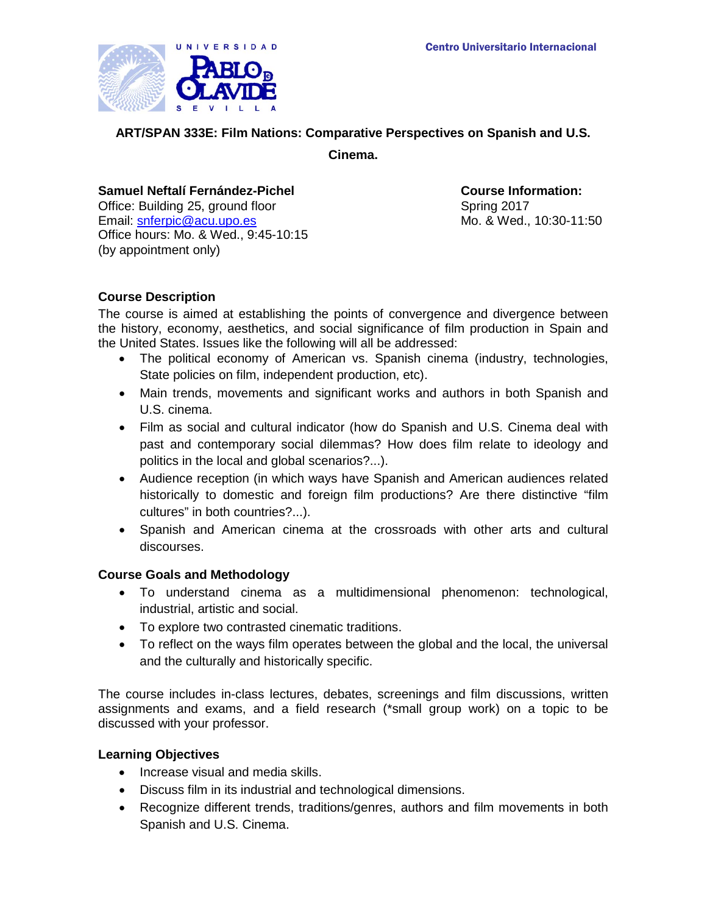

## **ART/SPAN 333E: Film Nations: Comparative Perspectives on Spanish and U.S.**

**Cinema.**

#### **Samuel Neftalí Fernández-Pichel Course Information:**

Office: Building 25, ground floor Spring 2017 Email: [snferpic@acu.upo.es](mailto:snferpic@acu.upo.es) Office hours: Mo. & Wed., 9:45-10:15 (by appointment only)

Mo. & Wed., 10:30-11:50

## **Course Description**

The course is aimed at establishing the points of convergence and divergence between the history, economy, aesthetics, and social significance of film production in Spain and the United States. Issues like the following will all be addressed:

- The political economy of American vs. Spanish cinema (industry, technologies, State policies on film, independent production, etc).
- Main trends, movements and significant works and authors in both Spanish and U.S. cinema.
- Film as social and cultural indicator (how do Spanish and U.S. Cinema deal with past and contemporary social dilemmas? How does film relate to ideology and politics in the local and global scenarios?...).
- Audience reception (in which ways have Spanish and American audiences related historically to domestic and foreign film productions? Are there distinctive "film cultures" in both countries?...).
- Spanish and American cinema at the crossroads with other arts and cultural discourses.

## **Course Goals and Methodology**

- To understand cinema as a multidimensional phenomenon: technological, industrial, artistic and social.
- To explore two contrasted cinematic traditions.
- To reflect on the ways film operates between the global and the local, the universal and the culturally and historically specific.

The course includes in-class lectures, debates, screenings and film discussions, written assignments and exams, and a field research (\*small group work) on a topic to be discussed with your professor.

## **Learning Objectives**

- Increase visual and media skills.
- Discuss film in its industrial and technological dimensions.
- Recognize different trends, traditions/genres, authors and film movements in both Spanish and U.S. Cinema.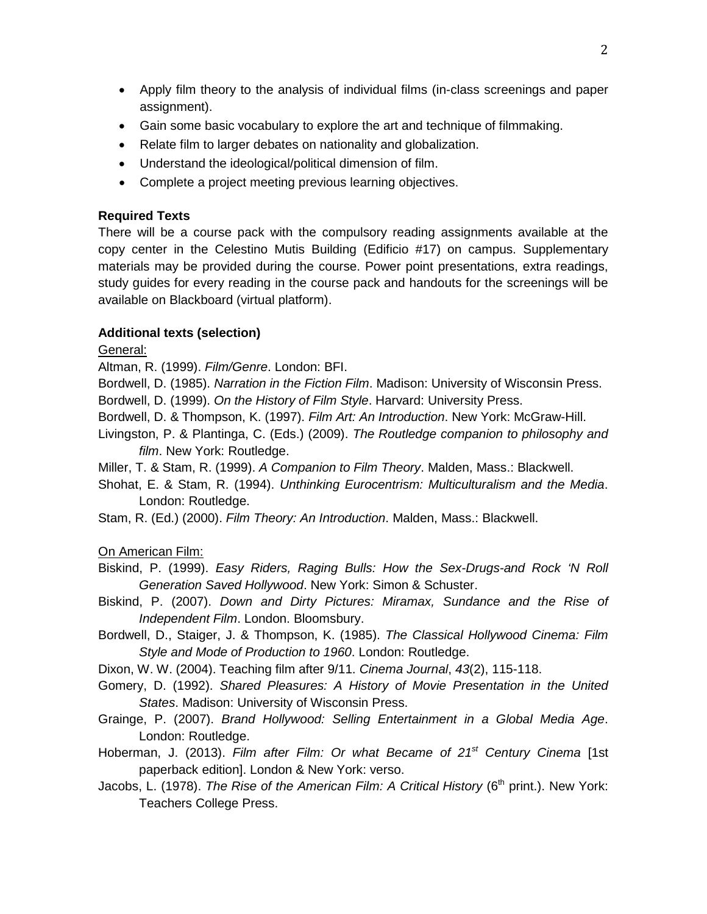- Apply film theory to the analysis of individual films (in-class screenings and paper assignment).
- Gain some basic vocabulary to explore the art and technique of filmmaking.
- Relate film to larger debates on nationality and globalization.
- Understand the ideological/political dimension of film.
- Complete a project meeting previous learning objectives.

# **Required Texts**

There will be a course pack with the compulsory reading assignments available at the copy center in the Celestino Mutis Building (Edificio #17) on campus. Supplementary materials may be provided during the course. Power point presentations, extra readings, study guides for every reading in the course pack and handouts for the screenings will be available on Blackboard (virtual platform).

# **Additional texts (selection)**

General:

Altman, R. (1999). *Film/Genre*. London: BFI.

Bordwell, D. (1985). *Narration in the Fiction Film*. Madison: University of Wisconsin Press.

Bordwell, D. (1999). *On the History of Film Style*. Harvard: University Press.

- Bordwell, D. & Thompson, K. (1997). *Film Art: An Introduction*. New York: McGraw-Hill.
- Livingston, P. & Plantinga, C. (Eds.) (2009). *The Routledge companion to philosophy and film*. New York: Routledge.
- Miller, T. & Stam, R. (1999). *A Companion to Film Theory*. Malden, Mass.: Blackwell.
- Shohat, E. & Stam, R. (1994). *Unthinking Eurocentrism: Multiculturalism and the Media*. London: Routledge.
- Stam, R. (Ed.) (2000). *Film Theory: An Introduction*. Malden, Mass.: Blackwell.

# On American Film:

- Biskind, P. (1999). *Easy Riders, Raging Bulls: How the Sex-Drugs-and Rock 'N Roll Generation Saved Hollywood*. New York: Simon & Schuster.
- Biskind, P. (2007). *Down and Dirty Pictures: Miramax, Sundance and the Rise of Independent Film*. London. Bloomsbury.
- Bordwell, D., Staiger, J. & Thompson, K. (1985). *The Classical Hollywood Cinema: Film Style and Mode of Production to 1960*. London: Routledge.
- Dixon, W. W. (2004). Teaching film after 9/11. *Cinema Journal*, *43*(2), 115-118.
- Gomery, D. (1992). *Shared Pleasures: A History of Movie Presentation in the United States*. Madison: University of Wisconsin Press.
- Grainge, P. (2007). *Brand Hollywood: Selling Entertainment in a Global Media Age*. London: Routledge.
- Hoberman, J. (2013). *Film after Film: Or what Became of 21st Century Cinema* [1st paperback edition]. London & New York: verso.
- Jacobs, L. (1978). *The Rise of the American Film: A Critical History* (6<sup>th</sup> print.). New York: Teachers College Press.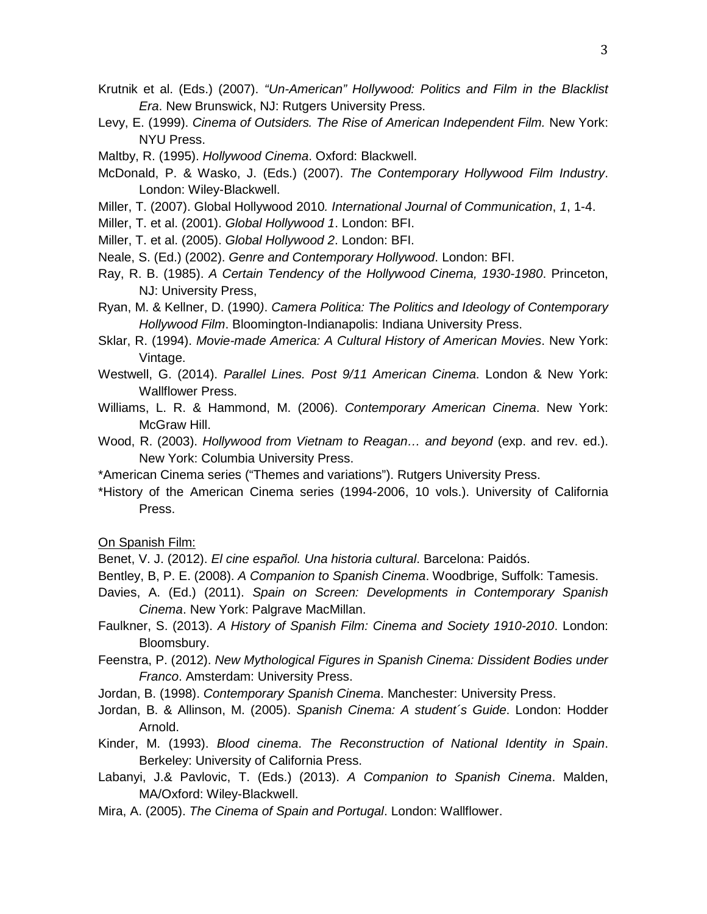- Krutnik et al. (Eds.) (2007). *"Un-American" Hollywood: Politics and Film in the Blacklist Era*. New Brunswick, NJ: Rutgers University Press.
- Levy, E. (1999). *Cinema of Outsiders. The Rise of American Independent Film.* New York: NYU Press.
- Maltby, R. (1995). *Hollywood Cinema*. Oxford: Blackwell.
- McDonald, P. & Wasko, J. (Eds.) (2007). *The Contemporary Hollywood Film Industry*. London: Wiley-Blackwell.
- Miller, T. (2007). Global Hollywood 2010*. International Journal of Communication*, *1*, 1-4.
- Miller, T. et al. (2001). *Global Hollywood 1*. London: BFI.
- Miller, T. et al. (2005). *Global Hollywood 2*. London: BFI.
- Neale, S. (Ed.) (2002). *Genre and Contemporary Hollywood*. London: BFI.
- Ray, R. B. (1985). *A Certain Tendency of the Hollywood Cinema, 1930-1980*. Princeton, NJ: University Press,
- Ryan, M. & Kellner, D. (1990*)*. *Camera Politica: The Politics and Ideology of Contemporary Hollywood Film*. Bloomington-Indianapolis: Indiana University Press.
- Sklar, R. (1994). *Movie-made America: A Cultural History of American Movies*. New York: Vintage.
- Westwell, G. (2014). *Parallel Lines. Post 9/11 American Cinema*. London & New York: Wallflower Press.
- Williams, L. R. & Hammond, M. (2006). *Contemporary American Cinema*. New York: McGraw Hill.
- Wood, R. (2003). *Hollywood from Vietnam to Reagan… and beyond* (exp. and rev. ed.). New York: Columbia University Press.
- \*American Cinema series ("Themes and variations"). Rutgers University Press.
- \*History of the American Cinema series (1994-2006, 10 vols.). University of California Press.

On Spanish Film:

Benet, V. J. (2012). *El cine español. Una historia cultural*. Barcelona: Paidós.

- Bentley, B, P. E. (2008). *A Companion to Spanish Cinema*. Woodbrige, Suffolk: Tamesis.
- Davies, A. (Ed.) (2011). *Spain on Screen: Developments in Contemporary Spanish Cinema*. New York: Palgrave MacMillan.
- Faulkner, S. (2013). *A History of Spanish Film: Cinema and Society 1910-2010*. London: Bloomsbury.
- Feenstra, P. (2012). *New Mythological Figures in Spanish Cinema: Dissident Bodies under Franco*. Amsterdam: University Press.
- Jordan, B. (1998). *Contemporary Spanish Cinema*. Manchester: University Press.
- Jordan, B. & Allinson, M. (2005). *Spanish Cinema: A student´s Guide*. London: Hodder Arnold.
- Kinder, M. (1993). *Blood cinema*. *The Reconstruction of National Identity in Spain*. Berkeley: University of California Press.
- Labanyi, J.& Pavlovic, T. (Eds.) (2013). *A Companion to Spanish Cinema*. Malden, MA/Oxford: Wiley-Blackwell.
- Mira, A. (2005). *The Cinema of Spain and Portugal*. London: Wallflower.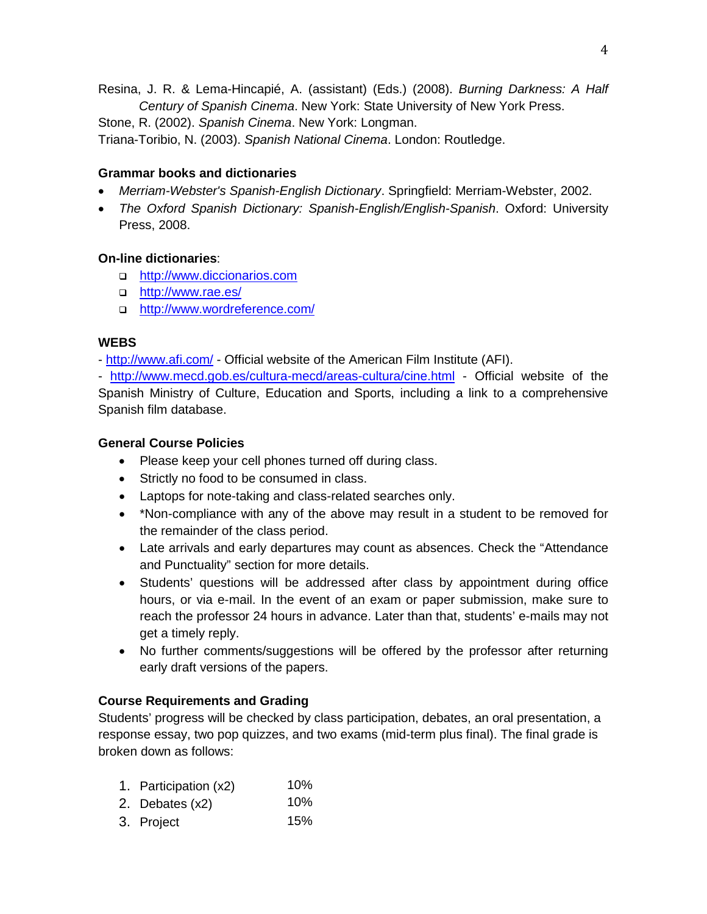Resina, J. R. & Lema-Hincapié, A. (assistant) (Eds.) (2008). *Burning Darkness: A Half Century of Spanish Cinema*. New York: State University of New York Press. Stone, R. (2002). *Spanish Cinema*. New York: Longman.

Triana-Toribio, N. (2003). *Spanish National Cinema*. London: Routledge.

# **Grammar books and dictionaries**

- *Merriam-Webster's Spanish-English Dictionary*. Springfield: Merriam-Webster, 2002.
- *The Oxford Spanish Dictionary: Spanish-English/English-Spanish*. Oxford: University Press, 2008.

# **On-line dictionaries**:

- □ [http://www.diccionarios.com](http://www.diccionarios.com/)
- □ <http://www.rae.es/>
- <http://www.wordreference.com/>

## **WEBS**

- <http://www.afi.com/> - Official website of the American Film Institute (AFI).

- <http://www.mecd.gob.es/cultura-mecd/areas-cultura/cine.html> - Official website of the Spanish Ministry of Culture, Education and Sports, including a link to a comprehensive Spanish film database.

## **General Course Policies**

- Please keep your cell phones turned off during class.
- Strictly no food to be consumed in class.
- Laptops for note-taking and class-related searches only.
- \*Non-compliance with any of the above may result in a student to be removed for the remainder of the class period.
- Late arrivals and early departures may count as absences. Check the "Attendance and Punctuality" section for more details.
- Students' questions will be addressed after class by appointment during office hours, or via e-mail. In the event of an exam or paper submission, make sure to reach the professor 24 hours in advance. Later than that, students' e-mails may not get a timely reply.
- No further comments/suggestions will be offered by the professor after returning early draft versions of the papers.

# **Course Requirements and Grading**

Students' progress will be checked by class participation, debates, an oral presentation, a response essay, two pop quizzes, and two exams (mid-term plus final). The final grade is broken down as follows:

- 1. Participation (x2) 10%
- 2. Debates (x2) 10%
- 3. Project 15%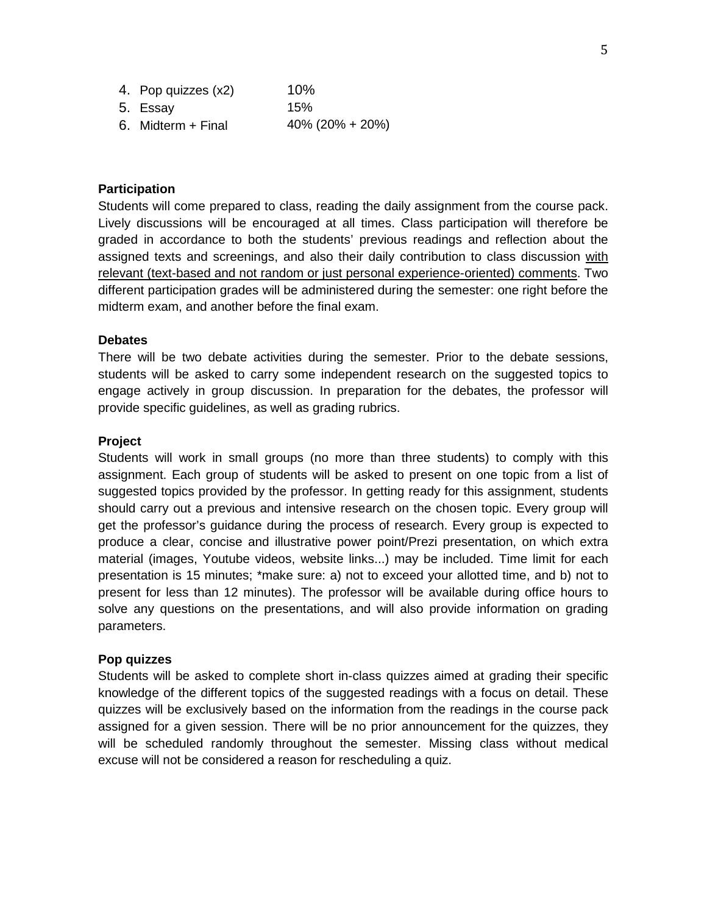| 4. Pop quizzes (x2) | 10%                |
|---------------------|--------------------|
| 5. Essay            | 15%                |
| 6. Midterm + Final  | $40\%$ (20% + 20%) |

#### **Participation**

Students will come prepared to class, reading the daily assignment from the course pack. Lively discussions will be encouraged at all times. Class participation will therefore be graded in accordance to both the students' previous readings and reflection about the assigned texts and screenings, and also their daily contribution to class discussion with relevant (text-based and not random or just personal experience-oriented) comments. Two different participation grades will be administered during the semester: one right before the midterm exam, and another before the final exam.

#### **Debates**

There will be two debate activities during the semester. Prior to the debate sessions, students will be asked to carry some independent research on the suggested topics to engage actively in group discussion. In preparation for the debates, the professor will provide specific guidelines, as well as grading rubrics.

#### **Project**

Students will work in small groups (no more than three students) to comply with this assignment. Each group of students will be asked to present on one topic from a list of suggested topics provided by the professor. In getting ready for this assignment, students should carry out a previous and intensive research on the chosen topic. Every group will get the professor's guidance during the process of research. Every group is expected to produce a clear, concise and illustrative power point/Prezi presentation, on which extra material (images, Youtube videos, website links...) may be included. Time limit for each presentation is 15 minutes; \*make sure: a) not to exceed your allotted time, and b) not to present for less than 12 minutes). The professor will be available during office hours to solve any questions on the presentations, and will also provide information on grading parameters.

#### **Pop quizzes**

Students will be asked to complete short in-class quizzes aimed at grading their specific knowledge of the different topics of the suggested readings with a focus on detail. These quizzes will be exclusively based on the information from the readings in the course pack assigned for a given session. There will be no prior announcement for the quizzes, they will be scheduled randomly throughout the semester. Missing class without medical excuse will not be considered a reason for rescheduling a quiz.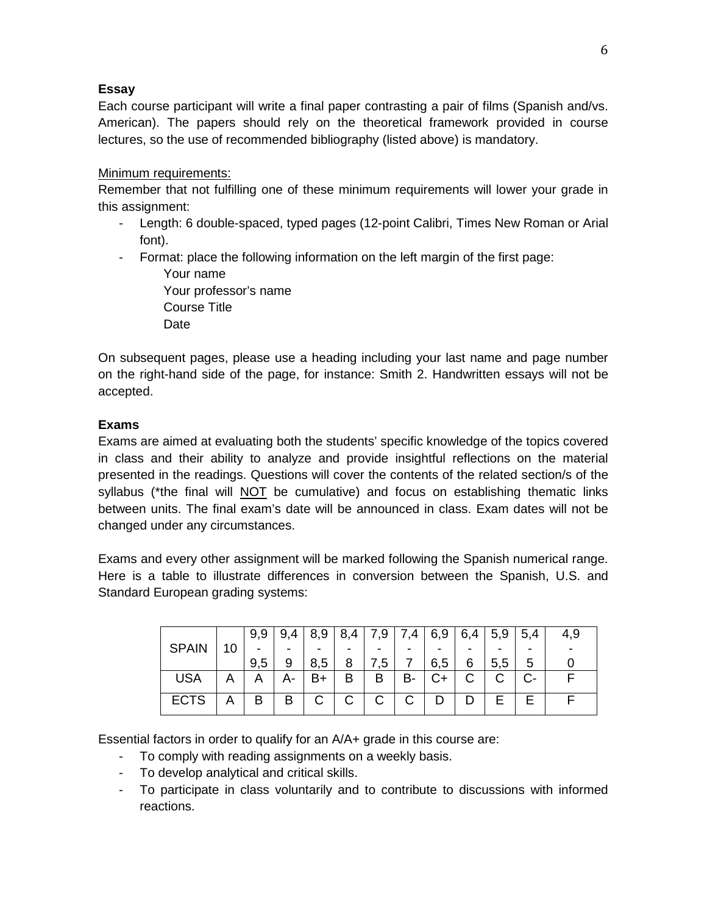# **Essay**

Each course participant will write a final paper contrasting a pair of films (Spanish and/vs. American). The papers should rely on the theoretical framework provided in course lectures, so the use of recommended bibliography (listed above) is mandatory.

## Minimum requirements:

Remember that not fulfilling one of these minimum requirements will lower your grade in this assignment:

- Length: 6 double-spaced, typed pages (12-point Calibri, Times New Roman or Arial font).
- Format: place the following information on the left margin of the first page:

Your name Your professor's name Course Title Date

On subsequent pages, please use a heading including your last name and page number on the right-hand side of the page, for instance: Smith 2. Handwritten essays will not be accepted.

# **Exams**

Exams are aimed at evaluating both the students' specific knowledge of the topics covered in class and their ability to analyze and provide insightful reflections on the material presented in the readings. Questions will cover the contents of the related section/s of the syllabus (\*the final will NOT be cumulative) and focus on establishing thematic links between units. The final exam's date will be announced in class. Exam dates will not be changed under any circumstances.

Exams and every other assignment will be marked following the Spanish numerical range. Here is a table to illustrate differences in conversion between the Spanish, U.S. and Standard European grading systems:

|              |    | 9,9 | 9,4 | 8,9 | 8,4 | 7,9 | 7,4 | 6,9 | 6,4 | 5,9 | 5,4 | 4,9 |
|--------------|----|-----|-----|-----|-----|-----|-----|-----|-----|-----|-----|-----|
| <b>SPAIN</b> | 10 | -   |     | ۰   |     |     |     |     |     |     |     |     |
|              |    | 9,5 |     | 8,5 | 8   | .5  |     | 6,5 | 6   | 5,5 | 5   |     |
| <b>USA</b>   | Α  | A   |     | B+  | В   | В   | в-  | C+  |     |     |     |     |
| <b>ECTS</b>  | A  | В   | в   | С   | С   | C.  |     | D   |     | ⊢   |     |     |

Essential factors in order to qualify for an A/A+ grade in this course are:

- To comply with reading assignments on a weekly basis.
- To develop analytical and critical skills.
- To participate in class voluntarily and to contribute to discussions with informed reactions.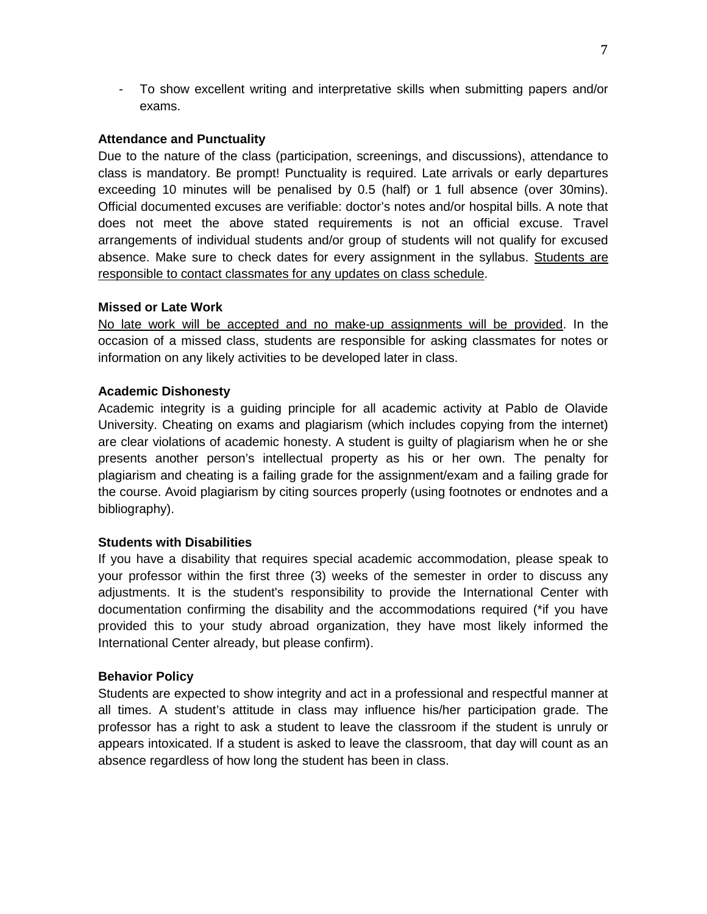- To show excellent writing and interpretative skills when submitting papers and/or exams.

## **Attendance and Punctuality**

Due to the nature of the class (participation, screenings, and discussions), attendance to class is mandatory. Be prompt! Punctuality is required. Late arrivals or early departures exceeding 10 minutes will be penalised by 0.5 (half) or 1 full absence (over 30mins). Official documented excuses are verifiable: doctor's notes and/or hospital bills. A note that does not meet the above stated requirements is not an official excuse. Travel arrangements of individual students and/or group of students will not qualify for excused absence. Make sure to check dates for every assignment in the syllabus. Students are responsible to contact classmates for any updates on class schedule.

## **Missed or Late Work**

No late work will be accepted and no make-up assignments will be provided. In the occasion of a missed class, students are responsible for asking classmates for notes or information on any likely activities to be developed later in class.

## **Academic Dishonesty**

Academic integrity is a guiding principle for all academic activity at Pablo de Olavide University. Cheating on exams and plagiarism (which includes copying from the internet) are clear violations of academic honesty. A student is guilty of plagiarism when he or she presents another person's intellectual property as his or her own. The penalty for plagiarism and cheating is a failing grade for the assignment/exam and a failing grade for the course. Avoid plagiarism by citing sources properly (using footnotes or endnotes and a bibliography).

## **Students with Disabilities**

If you have a disability that requires special academic accommodation, please speak to your professor within the first three (3) weeks of the semester in order to discuss any adjustments. It is the student's responsibility to provide the International Center with documentation confirming the disability and the accommodations required (\*if you have provided this to your study abroad organization, they have most likely informed the International Center already, but please confirm).

## **Behavior Policy**

Students are expected to show integrity and act in a professional and respectful manner at all times. A student's attitude in class may influence his/her participation grade. The professor has a right to ask a student to leave the classroom if the student is unruly or appears intoxicated. If a student is asked to leave the classroom, that day will count as an absence regardless of how long the student has been in class.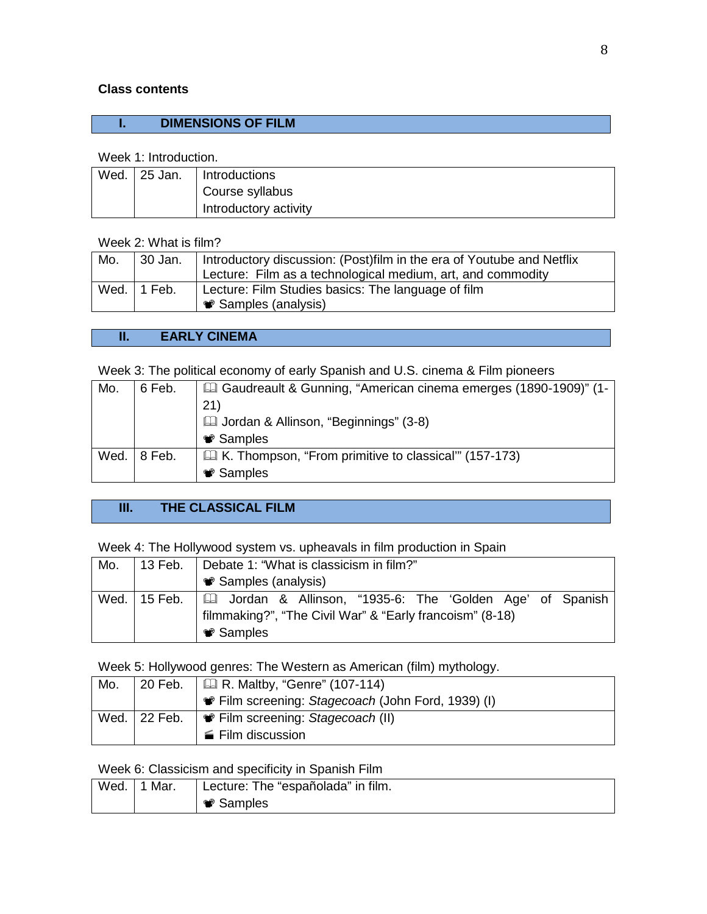## **Class contents**

# **I. DIMENSIONS OF FILM**

#### Week 1: Introduction.

| Wed. | <sup>1</sup> 25 Jan. | Introductions         |
|------|----------------------|-----------------------|
|      |                      | Course syllabus       |
|      |                      | Introductory activity |

#### Week 2: What is film?

| Mo. | 30 Jan.       | Introductory discussion: (Post)film in the era of Youtube and Netflix<br>Lecture: Film as a technological medium, art, and commodity |
|-----|---------------|--------------------------------------------------------------------------------------------------------------------------------------|
|     | Wed.   1 Feb. | Lecture: Film Studies basics: The language of film<br><b>● Samples (analysis)</b>                                                    |

#### **II. EARLY CINEMA**

Week 3: The political economy of early Spanish and U.S. cinema & Film pioneers

| Mo.  | 6 Feb.  | Gaudreault & Gunning, "American cinema emerges (1890-1909)" (1-<br>21) |
|------|---------|------------------------------------------------------------------------|
|      |         | <b>Ed Jordan &amp; Allinson, "Beginnings" (3-8)</b>                    |
|      |         | <b><sup>●</sup></b> Samples                                            |
| Wed. | ∣8 Feb. | <b>E. K.</b> Thompson, "From primitive to classical" (157-173)         |
|      |         | <b><sup>●</sup></b> Samples                                            |

# **III. THE CLASSICAL FILM**

Week 4: The Hollywood system vs. upheavals in film production in Spain

| Mo. | 13 Feb. | Debate 1: "What is classicism in film?"                                    |
|-----|---------|----------------------------------------------------------------------------|
|     |         | <b>● Samples (analysis)</b>                                                |
|     |         | Wed. 15 Feb.   [2] Jordan & Allinson, "1935-6: The 'Golden Age' of Spanish |
|     |         | filmmaking?", "The Civil War" & "Early francoism" (8-18)                   |
|     |         | <b>♥ Samples</b>                                                           |

Week 5: Hollywood genres: The Western as American (film) mythology.

| . 20 Feb.    | $\parallel$ Q R. Maltby, "Genre" (107-114)         |
|--------------|----------------------------------------------------|
|              | • Film screening: Stagecoach (John Ford, 1939) (I) |
| Wed. 22 Feb. | $\mathbf{C}$ Film screening: Stagecoach (II)       |
|              | ■ Film discussion                                  |
|              |                                                    |

Week 6: Classicism and specificity in Spanish Film

| Wed. | 1 Mar. | Lecture: The "españolada" in film. |
|------|--------|------------------------------------|
|      |        | <b>♥ Samples</b>                   |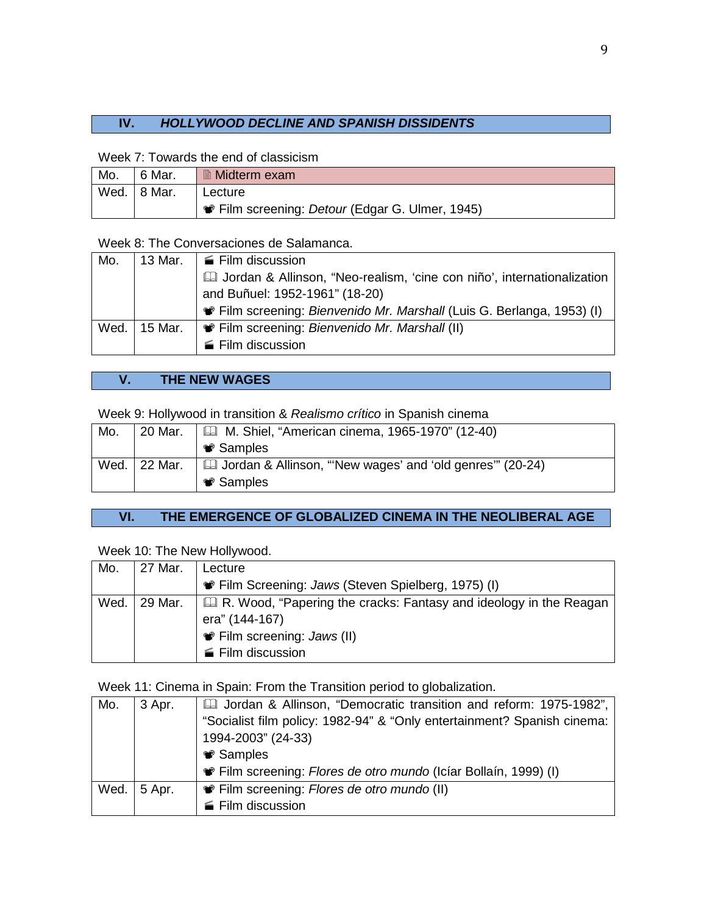# **IV.** *HOLLYWOOD DECLINE AND SPANISH DISSIDENTS*

Week 7: Towards the end of classicism

| Mo. | 6 Mar.      | <b>■ Midterm exam</b>                                |
|-----|-------------|------------------------------------------------------|
|     | Wed. 8 Mar. | Lecture                                              |
|     |             | <b>Film screening: Detour (Edgar G. Ulmer, 1945)</b> |

Week 8: The Conversaciones de Salamanca.

| Mo.  |         | 13 Mar. $\parallel \mathbf{m}$ Film discussion                            |
|------|---------|---------------------------------------------------------------------------|
|      |         | La Jordan & Allinson, "Neo-realism, 'cine con niño', internationalization |
|      |         | and Buñuel: 1952-1961" (18-20)                                            |
|      |         | Film screening: Bienvenido Mr. Marshall (Luis G. Berlanga, 1953) (I)      |
| Wed. | 15 Mar. | • Film screening: Bienvenido Mr. Marshall (II)                            |
|      |         | Film discussion                                                           |

# **V. THE NEW WAGES**

Week 9: Hollywood in transition & *Realismo crítico* in Spanish cinema

| Mo.  | 20 Mar. | <b>ED</b> M. Shiel, "American cinema, 1965-1970" (12-40)         |
|------|---------|------------------------------------------------------------------|
|      |         | <b>♥ Samples</b>                                                 |
| Wed. | 22 Mar. | <b>E</b> Jordan & Allinson, "New wages' and 'old genres" (20-24) |
|      |         | <b>♥ Samples</b>                                                 |

# **VI. THE EMERGENCE OF GLOBALIZED CINEMA IN THE NEOLIBERAL AGE**

# Week 10: The New Hollywood.

| Mo.  | 27 Mar. | Lecture                                                                        |
|------|---------|--------------------------------------------------------------------------------|
|      |         | • Film Screening: Jaws (Steven Spielberg, 1975) (I)                            |
| Wed. | 29 Mar. | <del>□</del> R. Wood, "Papering the cracks: Fantasy and ideology in the Reagan |
|      |         | era" (144-167)                                                                 |
|      |         | <b>●</b> Film screening: Jaws (II)                                             |
|      |         | Film discussion                                                                |

Week 11: Cinema in Spain: From the Transition period to globalization.

| Mo.  | 3 Apr. | [1975-1982] Jordan & Allinson, "Democratic transition and reform: 1975-1982", |
|------|--------|-------------------------------------------------------------------------------|
|      |        | "Socialist film policy: 1982-94" & "Only entertainment? Spanish cinema:       |
|      |        | 1994-2003" (24-33)                                                            |
|      |        | <b><sup>●</sup></b> Samples                                                   |
|      |        | Film screening: Flores de otro mundo (Icíar Bollaín, 1999) (I)                |
| Wed. | 5 Apr. | • Film screening: Flores de otro mundo (II)                                   |
|      |        | ■ Film discussion                                                             |